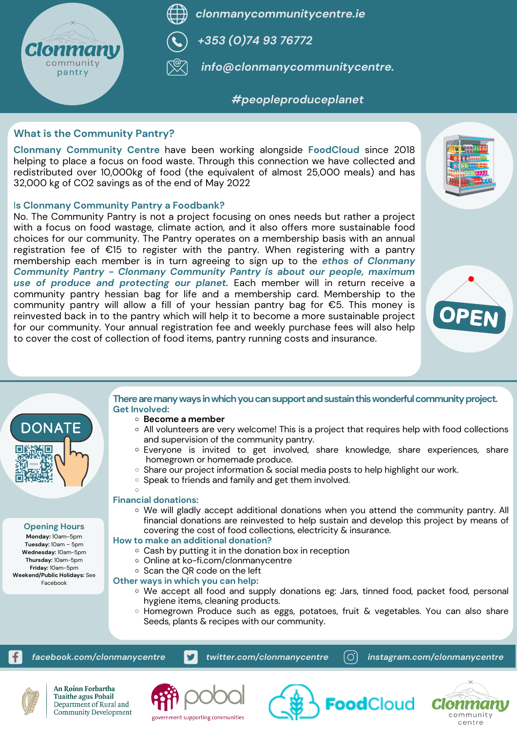



*clonmanycommunitycentre.ie*



*+353 (0)74 93 76772*



*info@clonmanycommunitycentre.*

## *#peopleproduceplanet*

*facebook.com/clonmanycentre twitter.com/clonmanycentre instagram.com/clonmanycentre*



An Roinn Forbartha **Tuaithe agus Pobail** Department of Rural and **Community Development** 



government supporting communities





- **Become a member**
- All volunteers are very welcome! This is a project that requires help with food collections and supervision of the community pantry.
- Everyone is invited to get involved, share knowledge, share experiences, share homegrown or homemade produce.
- $\circ$  Share our project information & social media posts to help highlight our work.
- o Speak to friends and family and get them involved.

## **Opening Hours**

**Monday:** 10am-5pm **Tuesday:** 10am – 5pm **Wednesday:** 10am-5pm **Thursday:** 10am-5pm **Friday:** 10am-5pm **Weekend/Public Holidays:** See Facebook

## There are many ways in which you can support and sustain this wonderful community project. **Get Involved:**

We will gladly accept additional donations when you attend the community pantry. All financial donations are reinvested to help sustain and develop this project by means of covering the cost of food collections, electricity & insurance.

- We accept all food and supply donations eg: Jars, tinned food, packet food, personal hygiene items, cleaning products.
- Homegrown Produce such as eggs, potatoes, fruit & vegetables. You can also share Seeds, plants & recipes with our community.

## **Financial donations:**

## **How to make an additional donation?**

- $\circ$  Cash by putting it in the donation box in reception
- o Online at ko-fi.com/clonmanycentre
- $\circ$  Scan the QR code on the left

## **Other ways in which you can help:**

**Clonmany Community Centre** have been working alongside **FoodCloud** since 2018 helping to place a focus on food waste. Through this connection we have collected and redistributed over 10,000kg of food (the equivalent of almost 25,000 meals) and has 32,000 kg of CO2 savings as of the end of May 2022

## I**s Clonmany Community Pantry a Foodbank?**

No. The Community Pantry is not a project focusing on ones needs but rather a project with a focus on food wastage, climate action, and it also offers more sustainable food choices for our community. The Pantry operates on a membership basis with an annual registration fee of €15 to register with the pantry. When registering with a pantry membership each member is in turn agreeing to sign up to the *ethos of Clonmany Community Pantry - Clonmany Community Pantry is about our people, maximum use of produce and protecting our planet.* Each member will in return receive a community pantry hessian bag for life and a membership card. Membership to the community pantry will allow a fill of your hessian pantry bag for €5. This money is reinvested back in to the pantry which will help it to become a more sustainable project for our community. Your annual registration fee and weekly purchase fees will also help to cover the cost of collection of food items, pantry running costs and insurance.





## **What is the Community Pantry?**